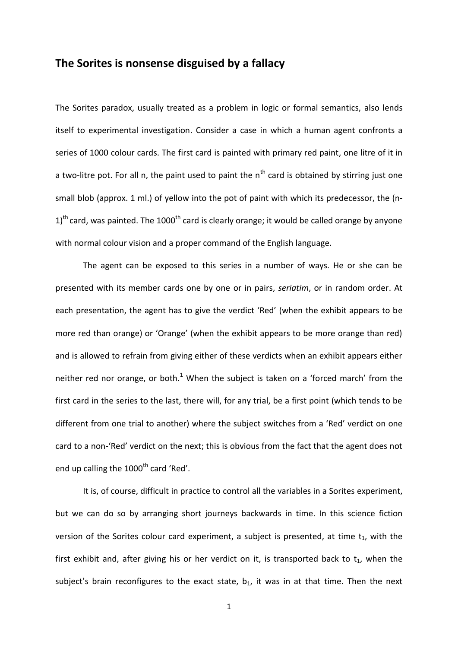## **The Sorites is nonsense disguised by a fallacy**

The Sorites paradox, usually treated as a problem in logic or formal semantics, also lends itself to experimental investigation. Consider a case in which a human agent confronts a series of 1000 colour cards. The first card is painted with primary red paint, one litre of it in a two-litre pot. For all n, the paint used to paint the  $n<sup>th</sup>$  card is obtained by stirring just one small blob (approx. 1 ml.) of yellow into the pot of paint with which its predecessor, the (n- $1$ <sup>th</sup> card, was painted. The 1000<sup>th</sup> card is clearly orange; it would be called orange by anyone with normal colour vision and a proper command of the English language.

The agent can be exposed to this series in a number of ways. He or she can be presented with its member cards one by one or in pairs, *seriatim*, or in random order. At each presentation, the agent has to give the verdict 'Red' (when the exhibit appears to be more red than orange) or 'Orange' (when the exhibit appears to be more orange than red) and is allowed to refrain from giving either of these verdicts when an exhibit appears either neither red nor orange, or both. $<sup>1</sup>$  When the subject is taken on a 'forced march' from the</sup> first card in the series to the last, there will, for any trial, be a first point (which tends to be different from one trial to another) where the subject switches from a 'Red' verdict on one card to a non-'Red' verdict on the next; this is obvious from the fact that the agent does not end up calling the 1000<sup>th</sup> card 'Red'.

It is, of course, difficult in practice to control all the variables in a Sorites experiment, but we can do so by arranging short journeys backwards in time. In this science fiction version of the Sorites colour card experiment, a subject is presented, at time  $t_1$ , with the first exhibit and, after giving his or her verdict on it, is transported back to  $t_1$ , when the subject's brain reconfigures to the exact state,  $b_1$ , it was in at that time. Then the next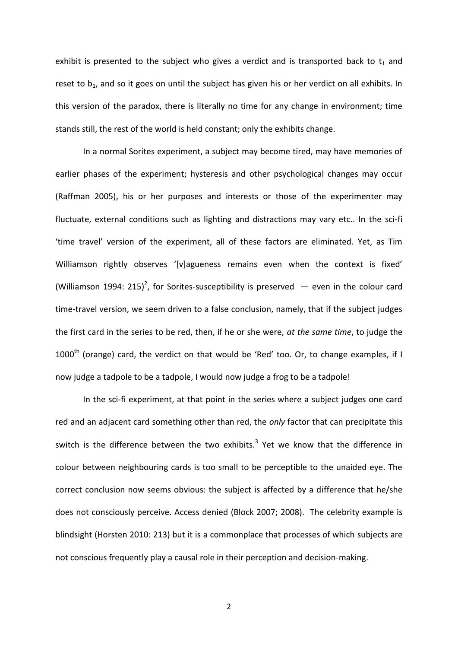exhibit is presented to the subject who gives a verdict and is transported back to  $t_1$  and reset to  $b_1$ , and so it goes on until the subject has given his or her verdict on all exhibits. In this version of the paradox, there is literally no time for any change in environment; time stands still, the rest of the world is held constant; only the exhibits change.

In a normal Sorites experiment, a subject may become tired, may have memories of earlier phases of the experiment; hysteresis and other psychological changes may occur (Raffman 2005), his or her purposes and interests or those of the experimenter may fluctuate, external conditions such as lighting and distractions may vary etc.. In the sci-fi 'time travel' version of the experiment, all of these factors are eliminated. Yet, as Tim Williamson rightly observes '[v]agueness remains even when the context is fixed' (Williamson 1994: 215)<sup>2</sup>, for Sorites-susceptibility is preserved  $-$  even in the colour card time-travel version, we seem driven to a false conclusion, namely, that if the subject judges the first card in the series to be red, then, if he or she were, *at the same time*, to judge the  $1000<sup>th</sup>$  (orange) card, the verdict on that would be 'Red' too. Or, to change examples, if I now judge a tadpole to be a tadpole, I would now judge a frog to be a tadpole!

In the sci-fi experiment, at that point in the series where a subject judges one card red and an adjacent card something other than red, the *only* factor that can precipitate this switch is the difference between the two exhibits. $3$  Yet we know that the difference in colour between neighbouring cards is too small to be perceptible to the unaided eye. The correct conclusion now seems obvious: the subject is affected by a difference that he/she does not consciously perceive. Access denied (Block 2007; 2008). The celebrity example is blindsight (Horsten 2010: 213) but it is a commonplace that processes of which subjects are not conscious frequently play a causal role in their perception and decision-making.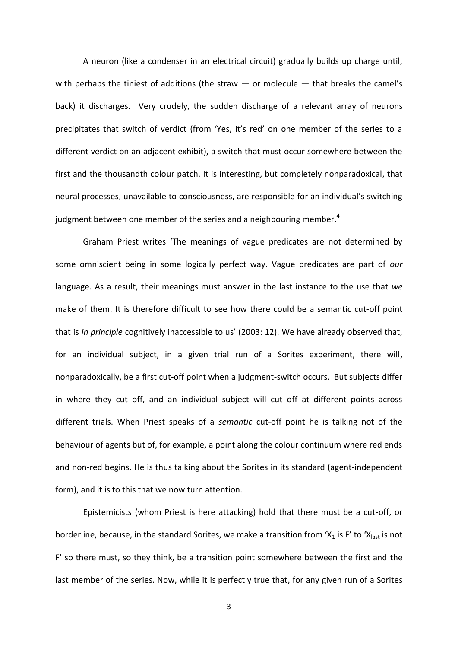A neuron (like a condenser in an electrical circuit) gradually builds up charge until, with perhaps the tiniest of additions (the straw  $-$  or molecule  $-$  that breaks the camel's back) it discharges. Very crudely, the sudden discharge of a relevant array of neurons precipitates that switch of verdict (from 'Yes, it's red' on one member of the series to a different verdict on an adjacent exhibit), a switch that must occur somewhere between the first and the thousandth colour patch. It is interesting, but completely nonparadoxical, that neural processes, unavailable to consciousness, are responsible for an individual's switching judgment between one member of the series and a neighbouring member.<sup>4</sup>

Graham Priest writes 'The meanings of vague predicates are not determined by some omniscient being in some logically perfect way. Vague predicates are part of *our* language. As a result, their meanings must answer in the last instance to the use that *we* make of them. It is therefore difficult to see how there could be a semantic cut-off point that is *in principle* cognitively inaccessible to us' (2003: 12). We have already observed that, for an individual subject, in a given trial run of a Sorites experiment, there will, nonparadoxically, be a first cut-off point when a judgment-switch occurs. But subjects differ in where they cut off, and an individual subject will cut off at different points across different trials. When Priest speaks of a *semantic* cut-off point he is talking not of the behaviour of agents but of, for example, a point along the colour continuum where red ends and non-red begins. He is thus talking about the Sorites in its standard (agent-independent form), and it is to this that we now turn attention.

Epistemicists (whom Priest is here attacking) hold that there must be a cut-off, or borderline, because, in the standard Sorites, we make a transition from 'X<sub>1</sub> is F' to 'X<sub>last</sub> is not F' so there must, so they think, be a transition point somewhere between the first and the last member of the series. Now, while it is perfectly true that, for any given run of a Sorites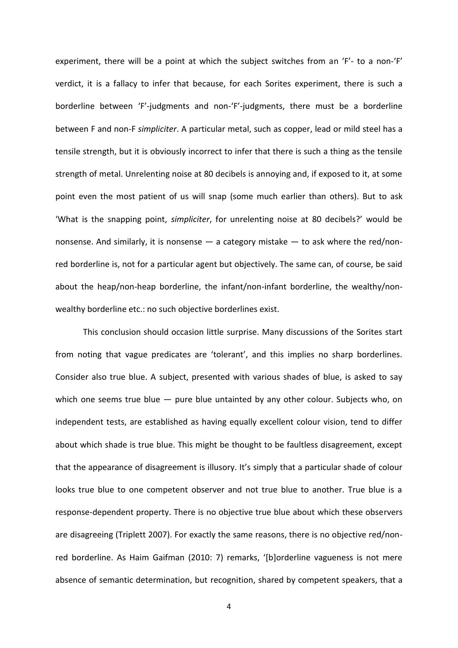experiment, there will be a point at which the subject switches from an 'F'- to a non-'F' verdict, it is a fallacy to infer that because, for each Sorites experiment, there is such a borderline between 'F'-judgments and non-'F'-judgments, there must be a borderline between F and non-F *simpliciter*. A particular metal, such as copper, lead or mild steel has a tensile strength, but it is obviously incorrect to infer that there is such a thing as the tensile strength of metal. Unrelenting noise at 80 decibels is annoying and, if exposed to it, at some point even the most patient of us will snap (some much earlier than others). But to ask 'What is the snapping point, *simpliciter*, for unrelenting noise at 80 decibels?' would be nonsense. And similarly, it is nonsense  $-$  a category mistake  $-$  to ask where the red/nonred borderline is, not for a particular agent but objectively. The same can, of course, be said about the heap/non-heap borderline, the infant/non-infant borderline, the wealthy/nonwealthy borderline etc.: no such objective borderlines exist.

This conclusion should occasion little surprise. Many discussions of the Sorites start from noting that vague predicates are 'tolerant', and this implies no sharp borderlines. Consider also true blue. A subject, presented with various shades of blue, is asked to say which one seems true blue — pure blue untainted by any other colour. Subjects who, on independent tests, are established as having equally excellent colour vision, tend to differ about which shade is true blue. This might be thought to be faultless disagreement, except that the appearance of disagreement is illusory. It's simply that a particular shade of colour looks true blue to one competent observer and not true blue to another. True blue is a response-dependent property. There is no objective true blue about which these observers are disagreeing (Triplett 2007). For exactly the same reasons, there is no objective red/nonred borderline. As Haim Gaifman (2010: 7) remarks, '[b]orderline vagueness is not mere absence of semantic determination, but recognition, shared by competent speakers, that a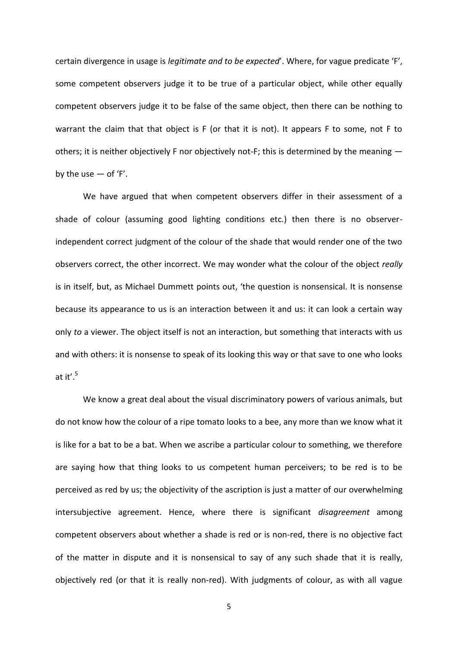certain divergence in usage is *legitimate and to be expected*'. Where, for vague predicate 'F', some competent observers judge it to be true of a particular object, while other equally competent observers judge it to be false of the same object, then there can be nothing to warrant the claim that that object is F (or that it is not). It appears F to some, not F to others; it is neither objectively F nor objectively not-F; this is determined by the meaning by the use — of 'F'.

We have argued that when competent observers differ in their assessment of a shade of colour (assuming good lighting conditions etc.) then there is no observerindependent correct judgment of the colour of the shade that would render one of the two observers correct, the other incorrect. We may wonder what the colour of the object *really*  is in itself, but, as Michael Dummett points out, 'the question is nonsensical. It is nonsense because its appearance to us is an interaction between it and us: it can look a certain way only *to* a viewer. The object itself is not an interaction, but something that interacts with us and with others: it is nonsense to speak of its looking this way or that save to one who looks at it' $<sup>5</sup>$ </sup>

We know a great deal about the visual discriminatory powers of various animals, but do not know how the colour of a ripe tomato looks to a bee, any more than we know what it is like for a bat to be a bat. When we ascribe a particular colour to something, we therefore are saying how that thing looks to us competent human perceivers; to be red is to be perceived as red by us; the objectivity of the ascription is just a matter of our overwhelming intersubjective agreement. Hence, where there is significant *disagreement* among competent observers about whether a shade is red or is non-red, there is no objective fact of the matter in dispute and it is nonsensical to say of any such shade that it is really, objectively red (or that it is really non-red). With judgments of colour, as with all vague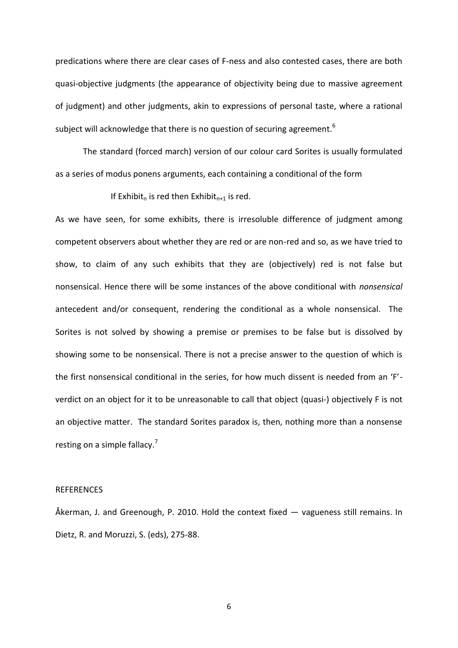predications where there are clear cases of F-ness and also contested cases, there are both quasi-objective judgments (the appearance of objectivity being due to massive agreement of judgment) and other judgments, akin to expressions of personal taste, where a rational subject will acknowledge that there is no question of securing agreement.<sup>6</sup>

The standard (forced march) version of our colour card Sorites is usually formulated as a series of modus ponens arguments, each containing a conditional of the form

If Exhibit<sub>n</sub> is red then Exhibit<sub>n+1</sub> is red.

As we have seen, for some exhibits, there is irresoluble difference of judgment among competent observers about whether they are red or are non-red and so, as we have tried to show, to claim of any such exhibits that they are (objectively) red is not false but nonsensical. Hence there will be some instances of the above conditional with *nonsensical*  antecedent and/or consequent, rendering the conditional as a whole nonsensical. The Sorites is not solved by showing a premise or premises to be false but is dissolved by showing some to be nonsensical. There is not a precise answer to the question of which is the first nonsensical conditional in the series, for how much dissent is needed from an 'F' verdict on an object for it to be unreasonable to call that object (quasi-) objectively F is not an objective matter. The standard Sorites paradox is, then, nothing more than a nonsense resting on a simple fallacy.<sup>7</sup>

## REFERENCES

Åkerman, J. and Greenough, P. 2010. Hold the context fixed — vagueness still remains. In Dietz, R. and Moruzzi, S. (eds), 275-88.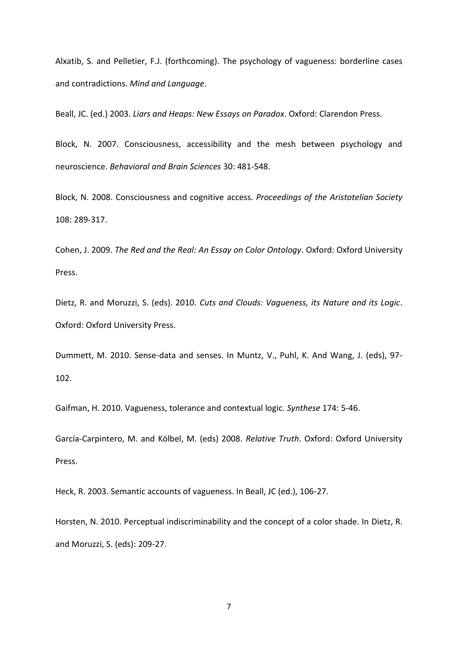Alxatib, S. and Pelletier, F.J. (forthcoming). The psychology of vagueness: borderline cases and contradictions. *Mind and Language*.

Beall, JC. (ed.) 2003. *Liars and Heaps: New Essays on Paradox*. Oxford: Clarendon Press.

Block, N. 2007. Consciousness, accessibility and the mesh between psychology and neuroscience. *Behavioral and Brain Sciences* 30: 481-548.

Block, N. 2008. Consciousness and cognitive access. *Proceedings of the Aristotelian Society* 108: 289-317.

Cohen, J. 2009. *The Red and the Real: An Essay on Color Ontology*. Oxford: Oxford University Press.

Dietz, R. and Moruzzi, S. (eds). 2010. *Cuts and Clouds: Vagueness, its Nature and its Logic*. Oxford: Oxford University Press.

Dummett, M. 2010. Sense-data and senses. In Muntz, V., Puhl, K. And Wang, J. (eds), 97- 102.

Gaifman, H. 2010. Vagueness, tolerance and contextual logic. *Synthese* 174: 5-46.

García-Carpintero, M. and Kölbel, M. (eds) 2008. *Relative Truth*. Oxford: Oxford University Press.

Heck, R. 2003. Semantic accounts of vagueness. In Beall, JC (ed.), 106-27.

Horsten, N. 2010. Perceptual indiscriminability and the concept of a color shade. In Dietz, R. and Moruzzi, S. (eds): 209-27.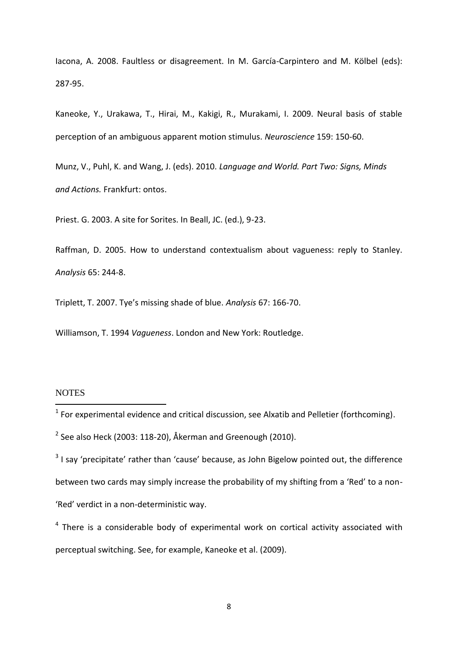Iacona, A. 2008. Faultless or disagreement. In M. García-Carpintero and M. Kölbel (eds): 287-95.

Kaneoke, Y., Urakawa, T., Hirai, M., Kakigi, R., Murakami, I. 2009. Neural basis of stable perception of an ambiguous apparent motion stimulus. *Neuroscience* 159: 150-60.

Munz, V., Puhl, K. and Wang, J. (eds). 2010. *Language and World. Part Two: Signs, Minds and Actions.* Frankfurt: ontos.

Priest. G. 2003. A site for Sorites. In Beall, JC. (ed.), 9-23.

Raffman, D. 2005. How to understand contextualism about vagueness: reply to Stanley. *Analysis* 65: 244-8.

Triplett, T. 2007. Tye's missing shade of blue. *Analysis* 67: 166-70.

Williamson, T. 1994 *Vagueness*. London and New York: Routledge.

## NOTES

1

 $1$  For experimental evidence and critical discussion, see Alxatib and Pelletier (forthcoming).

 $2$  See also Heck (2003: 118-20), Åkerman and Greenough (2010).

 $3$  I say 'precipitate' rather than 'cause' because, as John Bigelow pointed out, the difference between two cards may simply increase the probability of my shifting from a 'Red' to a non- 'Red' verdict in a non-deterministic way.

<sup>4</sup> There is a considerable body of experimental work on cortical activity associated with perceptual switching. See, for example, Kaneoke et al. (2009).